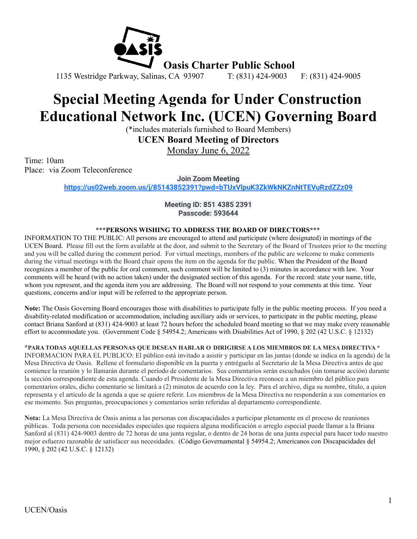

# **Special Meeting Agenda for Under Construction Educational Network Inc. (UCEN) Governing Board**

(\*includes materials furnished to Board Members)

**UCEN Board Meeting of Directors**

Monday June 6, 2022

Time: 10am Place: via Zoom Teleconference

**Join Zoom Meeting**

**<https://us02web.zoom.us/j/85143852391?pwd=bTUxVlpuK3ZkWkNKZnNtTEVuRzdZZz09>**

**Meeting ID: 851 4385 2391 Passcode: 593644**

# **\*\*\*PERSONS WISHING TO ADDRESS THE BOARD OF DIRECTORS\*\*\***

INFORMATION TO THE PUBLIC: All persons are encouraged to attend and participate (where designated) in meetings of the UCEN Board. Please fill out the form available at the door, and submit to the Secretary of the Board of Trustees prior to the meeting and you will be called during the comment period. For virtual meetings, members of the public are welcome to make comments during the virtual meetings with the Board chair opens the item on the agenda for the public. When the President of the Board recognizes a member of the public for oral comment, such comment will be limited to (3) minutes in accordance with law. Your comments will be heard (with no action taken) under the designated section of this agenda. For the record: state your name, title, whom you represent, and the agenda item you are addressing. The Board will not respond to your comments at this time. Your questions, concerns and/or input will be referred to the appropriate person.

**Note:** The Oasis Governing Board encourages those with disabilities to participate fully in the public meeting process. If you need a disability-related modification or accommodation, including auxiliary aids or services, to participate in the public meeting, please contact Briana Sanford at (831) 424-9003 at least 72 hours before the scheduled board meeting so that we may make every reasonable effort to accommodate you. (Government Code § 54954.2; Americans with Disabilities Act of 1990, § 202 (42 U.S.C. § 12132)

**\*PARA TODAS AQUELLAS PERSONAS QUE DESEAN HABLAR O DIRIGIRSE A LOS MIEMBROS DE LA MESA DIRECTIVA \*** INFORMACION PARA EL PUBLICO: El público está invitado a asistir y participar en las juntas (donde se indica en la agenda) de la Mesa Directiva de Oasis. Rellene el formulario disponible en la puerta y entréguelo al Secretario de la Mesa Directiva antes de que comience la reunión y lo llamarán durante el período de comentarios. Sus comentarios serán escuchados (sin tomarse acción) durante la sección correspondiente de esta agenda. Cuando el Presidente de la Mesa Directiva reconoce a un miembro del público para comentarios orales, dicho comentario se limitará a (2) minutos de acuerdo con la ley. Para el archivo, diga su nombre, titulo, a quien representa y el articulo de la agenda a que se quiere referir. Los miembros de la Mesa Directiva no responderán a sus comentarios en ese momento. Sus preguntas, preocupaciones y comentarios serán referidas al departamento correspondiente.

**Nota:** La Mesa Directiva de Oasis anima a las personas con discapacidades a participar plenamente en el proceso de reuniones públicas. Toda persona con necesidades especiales que requiera alguna modificación o arreglo especial puede llamar a la Briana Sanford al (831) 424-9003 dentro de 72 horas de una junta regular, o dentro de 24 horas de una junta especial para hacer todo nuestro mejor esfuerzo razonable de satisfacer sus necesidades. (Código Governamental § 54954.2; Americanos con Discapacidades del 1990, § 202 (42 U.S.C. § 12132)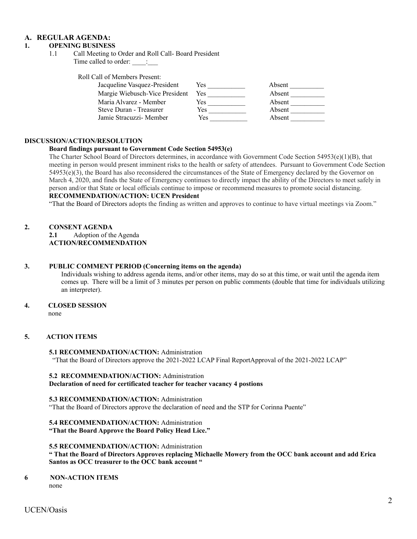# **A. REGULAR AGENDA:**

# **1. OPENING BUSINESS**

1.1 Call Meeting to Order and Roll Call- Board President Time called to order:  $\qquad$ :

Roll Call of Members Present:

| Jacqueline Vasquez-President   | Yes  | Absent |
|--------------------------------|------|--------|
| Margie Wiebusch-Vice President | Yes. | Absent |
| Maria Alvarez - Member         | Yes  | Absent |
| Steve Duran - Treasurer        | Yes  | Absent |
| Jamie Stracuzzi- Member        | Yes  | Absent |

#### **DISCUSSION/ACTION/RESOLUTION**

#### **Board findings pursuant to Government Code Section 54953(e)**

The Charter School Board of Directors determines, in accordance with Government Code Section 54953(e)(1)(B), that meeting in person would present imminent risks to the health or safety of attendees. Pursuant to Government Code Section 54953(e)(3), the Board has also reconsidered the circumstances of the State of Emergency declared by the Governor on March 4, 2020, and finds the State of Emergency continues to directly impact the ability of the Directors to meet safely in person and/or that State or local officials continue to impose or recommend measures to promote social distancing. **RECOMMENDATION/ACTION: UCEN President**

"That the Board of Directors adopts the finding as written and approves to continue to have virtual meetings via Zoom."

# **2. CONSENT AGENDA**

**2.1** Adoption of the Agenda **ACTION/RECOMMENDATION**

#### **3. PUBLIC COMMENT PERIOD (Concerning items on the agenda)**

Individuals wishing to address agenda items, and/or other items, may do so at this time, or wait until the agenda item comes up. There will be a limit of 3 minutes per person on public comments (double that time for individuals utilizing an interpreter).

#### **4. CLOSED SESSION**

# **5. ACTION ITEMS**

**5.1 RECOMMENDATION/ACTION:** Administration "That the Board of Directors approve the 2021-2022 LCAP Final ReportApproval of the 2021-2022 LCAP"

# **5.2 RECOMMENDATION/ACTION:** Administration

# **Declaration of need for certificated teacher for teacher vacancy 4 postions**

#### **5.3 RECOMMENDATION/ACTION:** Administration

"That the Board of Directors approve the declaration of need and the STP for Corinna Puente"

#### **5.4 RECOMMENDATION/ACTION:** Administration **"That the Board Approve the Board Policy Head Lice."**

#### **5.5 RECOMMENDATION/ACTION:** Administration

" That the Board of Directors Approves replacing Michaelle Mowery from the OCC bank account and add Erica **Santos as OCC treasurer to the OCC bank account "**

#### **6 NON-ACTION ITEMS** none

none